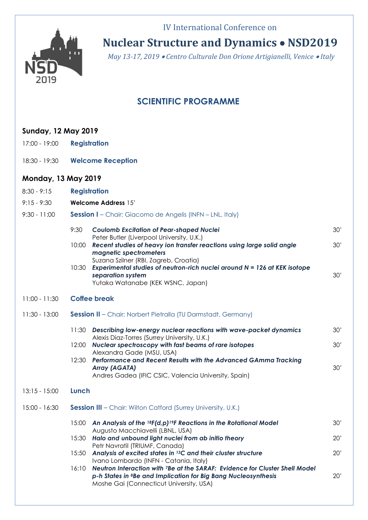## IV International Conference on



**Nuclear Structure and Dynamics NSD2019**

*May 13-17, 2019 Centro Culturale Don Orione Artigianelli, Venice Italy*

## **SCIENTIFIC PROGRAMME**

| <b>Sunday, 12 May 2019</b> |                                                                                                                                                                                                                      |
|----------------------------|----------------------------------------------------------------------------------------------------------------------------------------------------------------------------------------------------------------------|
| 17:00 - 19:00              | <b>Registration</b>                                                                                                                                                                                                  |
| 18:30 - 19:30              | <b>Welcome Reception</b>                                                                                                                                                                                             |
| <b>Monday, 13 May 2019</b> |                                                                                                                                                                                                                      |
| $8:30 - 9:15$              | <b>Registration</b>                                                                                                                                                                                                  |
| $9:15 - 9:30$              | <b>Welcome Address 15'</b>                                                                                                                                                                                           |
| $9:30 - 11:00$             | <b>Session I</b> - Chair: Giacomo de Angelis (INFN - LNL, Italy)                                                                                                                                                     |
|                            | 9:30<br><b>Coulomb Excitation of Pear-shaped Nuclei</b><br>30'                                                                                                                                                       |
|                            | Peter Butler (Liverpool University, U.K.)<br>Recent studies of heavy ion transfer reactions using large solid angle<br>30'<br>10:00<br>magnetic spectrometers                                                        |
|                            | Suzana Szilner (RBI, Zagreb, Croatia)<br>Experimental studies of neutron-rich nuclei around $N = 126$ at KEK isotope<br>10:30<br>separation system<br>30'<br>Yutaka Watanabe (KEK WSNC, Japan)                       |
| $11:00 - 11:30$            | <b>Coffee break</b>                                                                                                                                                                                                  |
| $11:30 - 13:00$            | <b>Session II</b> - Chair: Norbert Pietralla (TU Darmstadt, Germany)                                                                                                                                                 |
|                            | 11:30<br>Describing low-energy nuclear reactions with wave-packet dynamics<br>30'                                                                                                                                    |
|                            | Alexis Diaz-Torres (Surrey University, U.K.)<br>Nuclear spectroscopy with fast beams of rare isotopes<br>30'<br>12:00                                                                                                |
|                            | Alexandra Gade (MSU, USA)<br>Performance and Recent Results with the Advanced GAmma Tracking<br>12:30<br>30'<br><b>Array (AGATA)</b><br>Andres Gadea (IFIC CSIC, Valencia University, Spain)                         |
| $13:15 - 15:00$            | Lunch                                                                                                                                                                                                                |
| $15:00 - 16:30$            | <b>Session III</b> - Chair: Wilton Catford (Surrey University, U.K.)                                                                                                                                                 |
|                            | 15:00<br>An Analysis of the ${}^{18}F(d,p) {}^{19}F$ Reactions in the Rotational Model<br>30'                                                                                                                        |
|                            | Augusto Macchiavelli (LBNL, USA)<br>Halo and unbound light nuclei from ab initio theory<br>15:30<br>20'                                                                                                              |
|                            | Petr Navratil (TRIUMF, Canada)<br>Analysis of excited states in <sup>13</sup> C and their cluster structure<br>15:50<br>20'<br>Ivano Lombardo (INFN - Catania, Italy)                                                |
|                            | Neutron Interaction with 7Be at the SARAF: Evidence for Cluster Shell Model<br>16:10<br>p-h States in <sup>8</sup> Be and Implication for Big Bang Nucleosynthesis<br>20'<br>Moshe Gai (Connecticut University, USA) |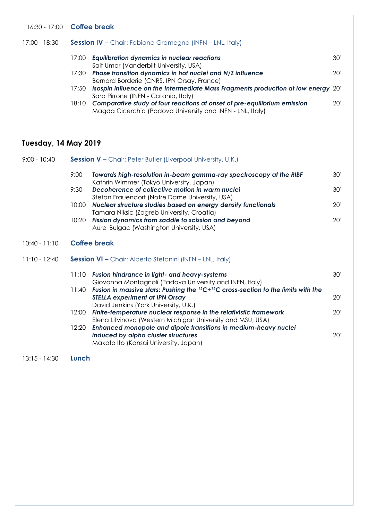| 17:00 - 18:30 | <b>Session IV</b> – Chair: Fabiana Gramegna (INFN – LNL, Italy)                                                                                       |  |
|---------------|-------------------------------------------------------------------------------------------------------------------------------------------------------|--|
|               | <b>Equilibration dynamics in nuclear reactions</b><br>30'<br>17:00<br>Sait Umar (Vanderbilt University, USA)                                          |  |
|               | Phase transition dynamics in hot nuclei and N/Z influence<br>20'<br>17:30<br>Bernard Borderie (CNRS, IPN Orsay, France)                               |  |
|               | Isospin influence on the Intermediate Mass Fragments production at low energy 20'<br>17:50<br>Sara Pirrone (INFN - Catania, Italy)                    |  |
|               | Comparative study of four reactions at onset of pre-equilibrium emission<br>20'<br>18:10<br>Magda Cicerchia (Padova University and INFN - LNL, Italy) |  |

# **Tuesday, 14 May 2019**

| $9:00 - 10:40$  |       | <b>Session V</b> – Chair: Peter Butler (Liverpool University, U.K.)                                                                                                 |     |
|-----------------|-------|---------------------------------------------------------------------------------------------------------------------------------------------------------------------|-----|
|                 | 9:00  | Towards high-resolution in-beam gamma-ray spectroscopy at the RIBF<br>Kathrin Wimmer (Tokyo University, Japan)                                                      | 30' |
|                 | 9:30  | Decoherence of collective motion in warm nuclei<br>Stefan Frauendorf (Notre Dame University, USA)                                                                   | 30' |
|                 | 10:00 | Nuclear structure studies based on energy density functionals<br>Tamara Niksic (Zagreb University, Croatia)                                                         | 20' |
|                 | 10:20 | Fission dynamics from saddle to scission and beyond<br>Aurel Bulgac (Washington University, USA)                                                                    | 20' |
| $10:40 - 11:10$ |       | <b>Coffee break</b>                                                                                                                                                 |     |
| $11:10 - 12:40$ |       | <b>Session VI</b> - Chair: Alberto Stefanini (INFN - LNL, Italy)                                                                                                    |     |
|                 | 11:10 | <b>Fusion hindrance in light- and heavy-systems</b><br>Giovanna Montagnoli (Padova University and INFN, Italy)                                                      | 30' |
|                 | 11:40 | Fusion in massive stars: Pushing the 12C+12C cross-section to the limits with the<br><b>STELLA experiment at IPN Orsay</b><br>David Jenkins (York University, U.K.) | 20' |
|                 | 12:00 | Finite-temperature nuclear response in the relativistic framework<br>Elena Litvinova (Western Michigan University and MSU, USA)                                     | 20' |
|                 | 12:20 | Enhanced monopole and dipole transitions in medium-heavy nuclei<br>induced by alpha cluster structures<br>Makoto Ito (Kansai University, Japan)                     | 20' |

13:15 - 14:30 **Lunch**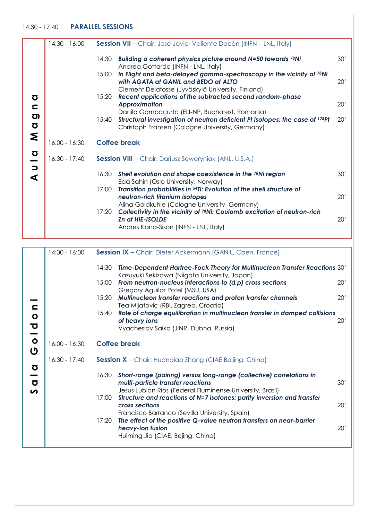#### 14:30 - 17:40 **PARALLEL SESSIONS**

|                                                                | 14:30 - 16:00   |       | <b>Session VII</b> - Chair: José Javier Valiente Dobón (INFN - LNL, Italy)                                                                                                        |     |
|----------------------------------------------------------------|-----------------|-------|-----------------------------------------------------------------------------------------------------------------------------------------------------------------------------------|-----|
|                                                                |                 | 14:30 | Building a coherent physics picture around N=50 towards 78Ni<br>Andrea Gottardo (INFN - LNL, Italy)                                                                               | 30' |
|                                                                |                 | 15:00 | In Flight and beta-delayed gamma-spectroscopy in the vicinity of 78Ni<br>with AGATA at GANIL and BEDO at ALTO                                                                     | 20' |
| Ō                                                              |                 | 15:20 | Clement Delafosse (Jyväskylä University, Finland)<br>Recent applications of the subtracted second random-phase<br><b>Approximation</b>                                            | 20' |
| c<br><b>O</b><br>$\sigma$                                      |                 | 15:40 | Danilo Gambacurta (ELI-NP, Bucharest, Romania)<br>Structural investigation of neutron deficient Pt isotopes: the case of 178Pt<br>Christoph Fransen (Cologne University, Germany) | 20' |
| <b>Z</b>                                                       | $16:00 - 16:30$ |       | <b>Coffee break</b>                                                                                                                                                               |     |
| $\sigma$                                                       |                 |       |                                                                                                                                                                                   |     |
| —                                                              | $16:30 - 17:40$ |       | <b>Session VIII</b> - Chair: Dariusz Seweryniak (ANL, U.S.A.)                                                                                                                     |     |
| $\Box$<br>∢                                                    |                 | 16:30 | Shell evolution and shape coexistence in the 78Ni region<br>Eda Sahin (Oslo University, Norway)                                                                                   | 30' |
|                                                                |                 | 17:00 | Transition probabilities in <sup>54</sup> Ti: Evolution of the shell structure of<br>neutron-rich titanium isotopes                                                               | 20' |
|                                                                |                 | 17:20 | Alina Goldkuhle (Cologne University, Germany)<br>Collectivity in the vicinity of <sup>78</sup> Ni: Coulomb excitation of neutron-rich                                             |     |
|                                                                |                 |       | Zn at HIE-ISOLDE                                                                                                                                                                  | 20' |
|                                                                |                 |       | Andres Illana-Sison (INFN - LNL, Italy)                                                                                                                                           |     |
|                                                                |                 |       |                                                                                                                                                                                   |     |
|                                                                | $14:30 - 16:00$ |       | Session IX - Chair: Dieter Ackermann (GANIL, Caen, France)                                                                                                                        |     |
|                                                                |                 | 14:30 | Time-Dependent Hartree-Fock Theory for Multinucleon Transfer Reactions 30'<br>Kazuyuki Sekizawa (Niigata University, Japan)                                                       |     |
|                                                                |                 | 15:00 | From neutron-nucleus interactions to (d,p) cross sections                                                                                                                         | 20' |
|                                                                |                 | 15:20 | Gregory Aguilar Potel (MSU, USA)<br>Multinucleon transfer reactions and proton transfer channels                                                                                  | 20' |
|                                                                |                 | 15:40 | Tea Mijatovic (RBI, Zagreb, Croatia)<br>Role of charge equilibration in multinucleon transfer in damped collisions                                                                |     |
| $\bullet$<br>$\boldsymbol{\sigma}$<br>$\overline{\phantom{0}}$ |                 |       | of heavy ions<br>Vyacheslav Saiko (JINR, Dubna, Russia)                                                                                                                           | 20' |
| $\bullet$<br>U                                                 | $16:00 - 16:30$ |       | <b>Coffee break</b>                                                                                                                                                               |     |
| Ō                                                              | $16:30 - 17:40$ |       | <b>Session X</b> - Chair: Huangiao Zhang (CIAE Beijing, China)                                                                                                                    |     |
| $\sigma$                                                       |                 | 16:30 | Short-range (pairing) versus long-range (collective) correlations in<br>multi-particle transfer reactions<br>Jesus Lubian Rios (Federal Fluminense University, Brasil)            | 30' |
| n                                                              |                 |       | Structure and reactions of N=7 isotones: parity inversion and transfer                                                                                                            |     |

Francisco Barranco (Sevilla University, Spain) 17:20 *The effect of the positive Q-value neutron transfers on near-barrier*  **heavy-ion fusion** 20' Huiming Jia (CIAE, Bejing, China)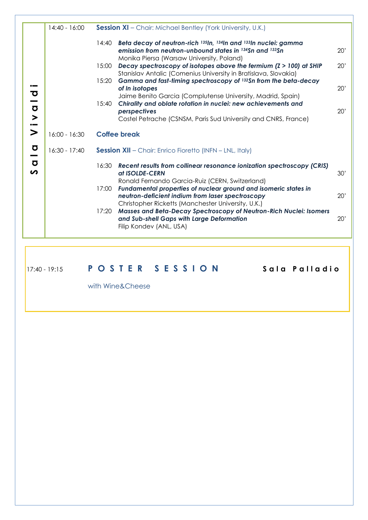|                                                  | $14:40 - 16:00$ |       | Session XI - Chair: Michael Bentley (York University, U.K.)                                                                                                               |     |
|--------------------------------------------------|-----------------|-------|---------------------------------------------------------------------------------------------------------------------------------------------------------------------------|-----|
|                                                  |                 | 14:40 | Beta decay of neutron-rich 135In, 134In and 133In nuclei: gamma<br>emission from neutron-unbound states in 134Sn and 133Sn<br>Monika Piersa (Warsaw University, Poland)   | 20' |
|                                                  |                 | 15:00 | Decay spectroscopy of isotopes above the fermium $(2 > 100)$ at SHIP<br>Stanislav Antalic (Comenius University in Bratislava, Slovakia)                                   | 20' |
| ত                                                |                 | 15:20 | Gamma and fast-timing spectroscopy of 132Sn from the beta-decay<br>of In isotopes                                                                                         | 20' |
| $\sigma$                                         |                 | 15:40 | Jaime Benito Garcia (Complutense University, Madrid, Spain)<br>Chirality and oblate rotation in nuclei: new achievements and<br>perspectives                              | 20' |
| $\geq$<br>$\bullet$                              |                 |       | Costel Petrache (CSNSM, Paris Sud University and CNRS, France)                                                                                                            |     |
| $\geq$                                           | $16:00 - 16:30$ |       | <b>Coffee break</b>                                                                                                                                                       |     |
| $\bullet$<br>$\overline{\phantom{0}}$            | $16:30 - 17:40$ |       | <b>Session XII</b> - Chair: Enrico Fioretto (INFN - LNL, Italy)                                                                                                           |     |
| $\overline{\mathbf{o}}$<br>$\boldsymbol{\omega}$ |                 | 16:30 | Recent results from collinear resonance ionization spectroscopy (CRIS)<br>at ISOLDE-CERN<br>Ronald Fernando Garcia-Ruiz (CERN, Switzerland)                               | 30' |
|                                                  |                 | 17:00 | Fundamental properties of nuclear ground and isomeric states in<br>neutron-deficient indium from laser spectroscopy<br>Christopher Ricketts (Manchester University, U.K.) | 20' |
|                                                  |                 | 17:20 | Masses and Beta-Decay Spectroscopy of Neutron-Rich Nuclei: Isomers<br>and Sub-shell Gaps with Large Deformation<br>Filip Kondev (ANL, USA)                                | 20' |
|                                                  |                 |       |                                                                                                                                                                           |     |

17:40 - 19:15 **P O S T E R S E S S I O N S a l a P a l l a d i o**

with Wine&Cheese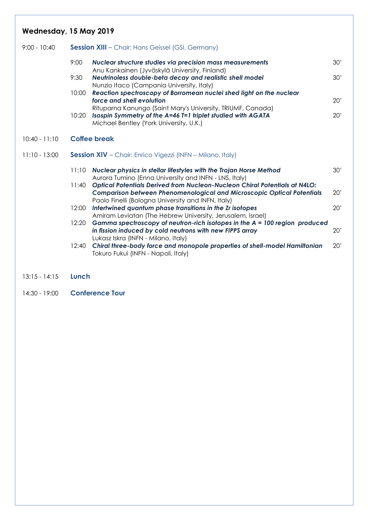### **Wednesday, 15 May 2019**

| 9:00 - 10:40    |       | <b>Session XIII</b> – Chair: Hans Geissel (GSI, Germany)                                                                                                              |     |  |  |  |  |
|-----------------|-------|-----------------------------------------------------------------------------------------------------------------------------------------------------------------------|-----|--|--|--|--|
|                 | 9:00  | Nuclear structure studies via precision mass measurements<br>Anu Kankainen (Jyväskylä University, Finland)                                                            | 30' |  |  |  |  |
|                 | 9:30  | Neutrinoless double-beta decay and realistic shell model<br>Nunzio Itaco (Campania University, Italy)                                                                 | 30' |  |  |  |  |
|                 | 10:00 | Reaction spectroscopy of Borromean nuclei shed light on the nuclear<br>force and shell evolution                                                                      | 20' |  |  |  |  |
|                 | 10:20 | Rituparna Kanungo (Saint Mary's University, TRIUMF, Canada)<br>Isospin Symmetry of the A=46 T=1 triplet studied with AGATA<br>Michael Bentley (York University, U.K.) | 20' |  |  |  |  |
| $10:40 - 11:10$ |       | <b>Coffee break</b>                                                                                                                                                   |     |  |  |  |  |
|                 |       |                                                                                                                                                                       |     |  |  |  |  |

#### 11:10 - 13:00 **Session XIV** – Chair: Enrico Vigezzi (INFN – Milano, Italy)

| 11:10 | Nuclear physics in stellar lifestyles with the Trojan Horse Method<br>Aurora Tumino (Enna University and INFN - LNS, Italy) | 30' |
|-------|-----------------------------------------------------------------------------------------------------------------------------|-----|
| 11:40 | Optical Potentials Derived from Nucleon-Nucleon Chiral Potentials at N4LO:                                                  |     |
|       | <b>Comparison between Phenomenological and Microscopic Optical Potentials</b>                                               | 20' |
|       | Paolo Finelli (Bologna University and INFN, Italy)                                                                          |     |
| 12:00 | Intertwined quantum phase transitions in the Zr isotopes                                                                    | 20' |
|       | Amiram Leviatan (The Hebrew University, Jerusalem, Israel)                                                                  |     |
| 12:20 | Gamma spectroscopy of neutron-rich isotopes in the $A = 100$ region produced                                                |     |
|       | in fission induced by cold neutrons with new FIPPS array                                                                    | 20' |
|       | Lukasz Iskra (INFN - Milano, Italy)                                                                                         |     |
| 12:40 | Chiral three-body force and monopole properties of shell-model Hamiltonian                                                  | 20' |
|       | Tokuro Fukui (INFN - Napoli, Italy)                                                                                         |     |

- 13:15 14:15 **Lunch**
- 14:30 19:00 **Conference Tour**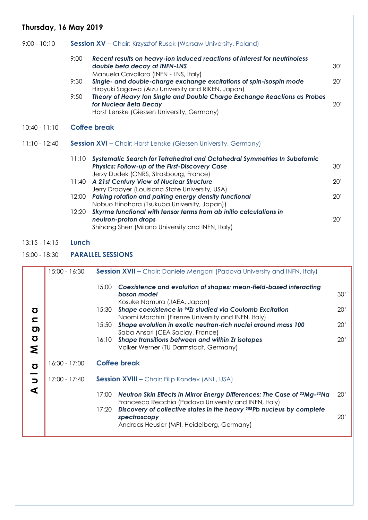| Thursday, 16 May 2019    |                 |               |                          |                                                                                                                                                                                               |     |
|--------------------------|-----------------|---------------|--------------------------|-----------------------------------------------------------------------------------------------------------------------------------------------------------------------------------------------|-----|
| $9:00 - 10:10$           |                 |               |                          | <b>Session XV</b> – Chair: Krzysztof Rusek (Warsaw University, Poland)                                                                                                                        |     |
|                          |                 | 9:00          |                          | Recent results on heavy-ion induced reactions of interest for neutrinoless<br>double beta decay at INFN-LNS                                                                                   | 30' |
|                          |                 | 9:30          |                          | Manuela Cavallaro (INFN - LNS, Italy)<br>Single- and double-charge exchange excitations of spin-isospin mode<br>Hiroyuki Sagawa (Aizu University and RIKEN, Japan)                            | 20' |
|                          |                 | 9:50          |                          | Theory of Heavy Ion Single and Double Charge Exchange Reactions as Probes<br>for Nuclear Beta Decay<br>Horst Lenske (Giessen University, Germany)                                             | 20' |
| $10:40 - 11:10$          |                 |               | <b>Coffee break</b>      |                                                                                                                                                                                               |     |
| $11:10 - 12:40$          |                 |               |                          | <b>Session XVI</b> – Chair: Horst Lenske (Giessen University, Germany)                                                                                                                        |     |
|                          |                 | 11:10         |                          | Systematic Search for Tetrahedral and Octahedral Symmetries In Subatomic<br>Physics: Follow-up of the First-Discovery Case                                                                    | 30' |
|                          |                 | 11:40         |                          | Jerzy Dudek (CNRS, Strasbourg, France)<br>A 21st Century View of Nuclear Structure                                                                                                            | 20' |
|                          |                 | 12:00         |                          | Jerry Draayer (Louisiana State University, USA)<br>Pairing rotation and pairing energy density functional                                                                                     | 20' |
|                          |                 | 12:20         |                          | Nobuo Hinohara (Tsukuba University, Japan))<br>Skyrme functional with tensor terms from ab initio calculations in<br>neutron-proton drops<br>Shihang Shen (Milano University and INFN, Italy) | 20' |
| $13:15 - 14:15$          |                 | Lunch         |                          |                                                                                                                                                                                               |     |
| 15:00 - 18:30            |                 |               | <b>PARALLEL SESSIONS</b> |                                                                                                                                                                                               |     |
|                          |                 | 15:00 - 16:30 |                          | <b>Session XVII</b> - Chair: Daniele Mengoni (Padova University and INFN, Italy)                                                                                                              |     |
|                          |                 |               | 15:00                    | Coexistence and evolution of shapes: mean-field-based interacting<br>boson model                                                                                                              | 30' |
| Ō                        |                 |               | 15:30                    | Kosuke Nomura (JAEA, Japan)<br>Shape coexistence in <sup>94</sup> Zr studied via Coulomb Excitation                                                                                           | 20' |
| $\mathbf{C}$<br><u>ත</u> |                 |               | 15:50                    | Naomi Marchini (Firenze University and INFN, Italy)<br>Shape evolution in exotic neutron-rich nuclei around mass 100                                                                          | 20' |
| $\sigma$<br>ξ            |                 |               | 16:10                    | Saba Ansari (CEA Saclay, France)<br>Shape transitions between and within Zr isotopes<br>Volker Werner (TU Darmstadt, Germany)                                                                 | 20' |
| $\sigma$                 | $16:30 - 17:00$ |               |                          | <b>Coffee break</b>                                                                                                                                                                           |     |
| $\Rightarrow$            | 17:00 - 17:40   |               |                          | Session XVIII - Chair: Filip Kondev (ANL, USA)                                                                                                                                                |     |
| $\blacktriangleleft$     |                 |               | 17:00                    | Neutron Skin Effects in Mirror Energy Differences: The Case of 23Mg-23Na                                                                                                                      | 20' |
|                          |                 |               | 17:20                    | Francesco Recchia (Padova University and INFN, Italy)<br>Discovery of collective states in the heavy 208Pb nucleus by complete<br>spectroscopy                                                | 20' |

Andreas Heusler (MPI, Heidelberg, Germany)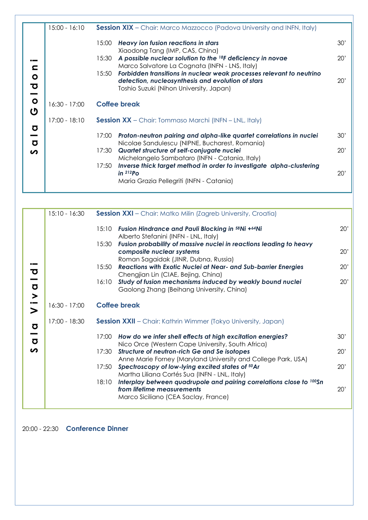|                                                  | $15:00 - 16:10$ | <b>Session XIX</b> - Chair: Marco Mazzocco (Padova University and INFN, Italy)                                                                                                                           |            |
|--------------------------------------------------|-----------------|----------------------------------------------------------------------------------------------------------------------------------------------------------------------------------------------------------|------------|
| c                                                |                 | Heavy ion fusion reactions in stars<br>15:00<br>Xiaodong Tang (IMP, CAS, China)<br>A possible nuclear solution to the 18F deficiency in novae<br>15:30<br>Marco Salvatore La Cognata (INFN - LNS, Italy) | 30'<br>20' |
| $\bullet$<br>$\overline{\mathbf{C}}$<br><u>—</u> |                 | Forbidden transitions in nuclear weak processes relevant to neutrino<br>15:50<br>detection, nucleosynthesis and evolution of stars<br>Toshio Suzuki (Nihon University, Japan)                            | 20'        |
| $\bullet$<br>ပ                                   | $16:30 - 17:00$ | <b>Coffee break</b>                                                                                                                                                                                      |            |
|                                                  | 17:00 - 18:10   | <b>Session XX</b> – Chair: Tommaso Marchi (INFN – LNL, Italy)                                                                                                                                            |            |
| $\sigma$<br>-<br>$\overline{\mathbf{o}}$         |                 | Proton-neutron pairing and alpha-like quartet correlations in nuclei<br>17:00<br>Nicolae Sandulescu (NIPNE, Bucharest, Romania)                                                                          | 30'        |
| の                                                |                 | Quartet structure of self-conjugate nuclei<br>17:30<br>Michelangelo Sambataro (INFN - Catania, Italy)                                                                                                    | 20'        |
|                                                  |                 | Inverse thick target method in order to investigate alpha-clustering<br>17:50<br>$in$ $212Po$<br>Maria Grazia Pellegriti (INFN - Catania)                                                                | 20'        |
|                                                  |                 |                                                                                                                                                                                                          |            |

| 15:10 - 16:30<br><b>Session XXI</b> - Chair: Matko Milin (Zagreb University, Croatia)<br>15:10 Fusion Hindrance and Pauli Blocking in 58Ni +64Ni<br>Alberto Stefanini (INFN - LNL, Italy)<br>Fusion probability of massive nuclei in reactions leading to heavy<br>15:30<br>composite nuclear systems<br>Roman Sagaidak (JINR, Dubna, Russia)<br>Reactions with Exotic Nuclei at Near- and Sub-barrier Energies<br>15:50<br>℧<br>Chengjian Lin (CIAE, Bejing, China)<br>Study of fusion mechanisms induced by weakly bound nuclei<br>16:10<br>Viva<br>Gaolong Zhang (Beihang University, China)<br><b>Coffee break</b><br>16:30 - 17:00<br>17:00 - 18:30<br><b>Session XXII</b> – Chair: Kathrin Wimmer (Tokyo University, Japan)<br>$\sigma$<br>$\overline{\phantom{0}}$<br>How do we infer shell effects at high excitation energies?<br>17:00<br>$\sigma$<br>Nico Orce (Western Cape University, South Africa)<br>$\boldsymbol{\omega}$<br>Structure of neutron-rich Ge and Se isotopes<br>17:30<br>Anne Marie Forney (Maryland University and College Park, USA)<br>Spectroscopy of low-lying excited states of <sup>50</sup> Ar<br>17:50 |  |                                               |     |
|-----------------------------------------------------------------------------------------------------------------------------------------------------------------------------------------------------------------------------------------------------------------------------------------------------------------------------------------------------------------------------------------------------------------------------------------------------------------------------------------------------------------------------------------------------------------------------------------------------------------------------------------------------------------------------------------------------------------------------------------------------------------------------------------------------------------------------------------------------------------------------------------------------------------------------------------------------------------------------------------------------------------------------------------------------------------------------------------------------------------------------------------------|--|-----------------------------------------------|-----|
|                                                                                                                                                                                                                                                                                                                                                                                                                                                                                                                                                                                                                                                                                                                                                                                                                                                                                                                                                                                                                                                                                                                                               |  |                                               |     |
|                                                                                                                                                                                                                                                                                                                                                                                                                                                                                                                                                                                                                                                                                                                                                                                                                                                                                                                                                                                                                                                                                                                                               |  |                                               | 20' |
|                                                                                                                                                                                                                                                                                                                                                                                                                                                                                                                                                                                                                                                                                                                                                                                                                                                                                                                                                                                                                                                                                                                                               |  |                                               |     |
|                                                                                                                                                                                                                                                                                                                                                                                                                                                                                                                                                                                                                                                                                                                                                                                                                                                                                                                                                                                                                                                                                                                                               |  |                                               |     |
|                                                                                                                                                                                                                                                                                                                                                                                                                                                                                                                                                                                                                                                                                                                                                                                                                                                                                                                                                                                                                                                                                                                                               |  |                                               | 20' |
|                                                                                                                                                                                                                                                                                                                                                                                                                                                                                                                                                                                                                                                                                                                                                                                                                                                                                                                                                                                                                                                                                                                                               |  |                                               |     |
|                                                                                                                                                                                                                                                                                                                                                                                                                                                                                                                                                                                                                                                                                                                                                                                                                                                                                                                                                                                                                                                                                                                                               |  |                                               | 20' |
|                                                                                                                                                                                                                                                                                                                                                                                                                                                                                                                                                                                                                                                                                                                                                                                                                                                                                                                                                                                                                                                                                                                                               |  |                                               |     |
|                                                                                                                                                                                                                                                                                                                                                                                                                                                                                                                                                                                                                                                                                                                                                                                                                                                                                                                                                                                                                                                                                                                                               |  |                                               | 20' |
|                                                                                                                                                                                                                                                                                                                                                                                                                                                                                                                                                                                                                                                                                                                                                                                                                                                                                                                                                                                                                                                                                                                                               |  |                                               |     |
|                                                                                                                                                                                                                                                                                                                                                                                                                                                                                                                                                                                                                                                                                                                                                                                                                                                                                                                                                                                                                                                                                                                                               |  |                                               |     |
|                                                                                                                                                                                                                                                                                                                                                                                                                                                                                                                                                                                                                                                                                                                                                                                                                                                                                                                                                                                                                                                                                                                                               |  |                                               |     |
|                                                                                                                                                                                                                                                                                                                                                                                                                                                                                                                                                                                                                                                                                                                                                                                                                                                                                                                                                                                                                                                                                                                                               |  |                                               |     |
|                                                                                                                                                                                                                                                                                                                                                                                                                                                                                                                                                                                                                                                                                                                                                                                                                                                                                                                                                                                                                                                                                                                                               |  |                                               | 30' |
|                                                                                                                                                                                                                                                                                                                                                                                                                                                                                                                                                                                                                                                                                                                                                                                                                                                                                                                                                                                                                                                                                                                                               |  |                                               |     |
|                                                                                                                                                                                                                                                                                                                                                                                                                                                                                                                                                                                                                                                                                                                                                                                                                                                                                                                                                                                                                                                                                                                                               |  |                                               | 20' |
|                                                                                                                                                                                                                                                                                                                                                                                                                                                                                                                                                                                                                                                                                                                                                                                                                                                                                                                                                                                                                                                                                                                                               |  |                                               |     |
|                                                                                                                                                                                                                                                                                                                                                                                                                                                                                                                                                                                                                                                                                                                                                                                                                                                                                                                                                                                                                                                                                                                                               |  |                                               | 20' |
|                                                                                                                                                                                                                                                                                                                                                                                                                                                                                                                                                                                                                                                                                                                                                                                                                                                                                                                                                                                                                                                                                                                                               |  | Martha Liliana Cortés Sua (INFN - LNL, Italy) |     |
| Interplay between quadrupole and pairing correlations close to 100Sn<br>18:10                                                                                                                                                                                                                                                                                                                                                                                                                                                                                                                                                                                                                                                                                                                                                                                                                                                                                                                                                                                                                                                                 |  |                                               |     |
| from lifetime measurements                                                                                                                                                                                                                                                                                                                                                                                                                                                                                                                                                                                                                                                                                                                                                                                                                                                                                                                                                                                                                                                                                                                    |  |                                               | 20' |
| Marco Siciliano (CEA Saclay, France)                                                                                                                                                                                                                                                                                                                                                                                                                                                                                                                                                                                                                                                                                                                                                                                                                                                                                                                                                                                                                                                                                                          |  |                                               |     |
|                                                                                                                                                                                                                                                                                                                                                                                                                                                                                                                                                                                                                                                                                                                                                                                                                                                                                                                                                                                                                                                                                                                                               |  |                                               |     |

20:00 - 22:30 **Conference Dinner**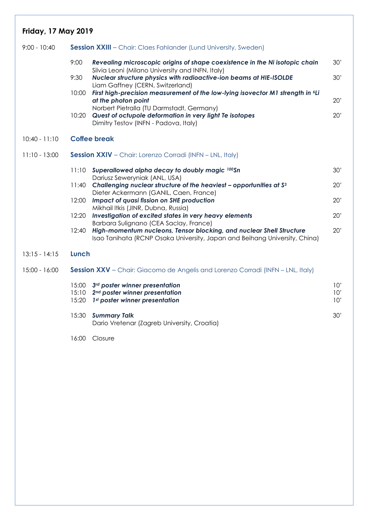### **Friday, 17 May 2019**

| 9:00 - 10:40    |                         | <b>Session XXIII</b> - Chair: Claes Fahlander (Lund University, Sweden)                                                                            |                   |
|-----------------|-------------------------|----------------------------------------------------------------------------------------------------------------------------------------------------|-------------------|
|                 | 9:00                    | Revealing microscopic origins of shape coexistence in the Ni isotopic chain<br>Silvia Leoni (Milano University and INFN, Italy)                    | 30'               |
|                 | 9:30                    | Nuclear structure physics with radioactive-ion beams at HIE-ISOLDE<br>Liam Gaffney (CERN, Switzerland)                                             | 30'               |
|                 | 10:00                   | First high-precision measurement of the low-lying isovector M1 strength in <sup>6</sup> Li<br>at the photon point                                  | 20'               |
|                 | 10:20                   | Norbert Pietralla (TU Darmstadt, Germany)<br>Quest of octupole deformation in very light Te isotopes<br>Dimitry Testov (INFN - Padova, Italy)      | 20'               |
| $10:40 - 11:10$ |                         | <b>Coffee break</b>                                                                                                                                |                   |
| $11:10 - 13:00$ |                         | Session XXIV - Chair: Lorenzo Corradi (INFN - LNL, Italy)                                                                                          |                   |
|                 | 11:10                   | Superallowed alpha decay to doubly magic 100Sn<br>Dariusz Seweryniak (ANL, USA)                                                                    | 30'               |
|                 | 11:40                   | Challenging nuclear structure of the heaviest - opportunities at S <sup>3</sup><br>Dieter Ackermann (GANIL, Caen, France)                          | 20'               |
|                 | 12:00                   | Impact of quasi fission on SHE production<br>Mikhail Itkis (JINR, Dubna, Russia)                                                                   | 20'               |
|                 | 12:20                   | Investigation of excited states in very heavy elements<br>Barbara Sulignano (CEA Saclay, France)                                                   | 20'               |
|                 | 12:40                   | High-momentum nucleons, Tensor blocking, and nuclear Shell Structure<br>Isao Tanihata (RCNP Osaka University, Japan and Beihang University, China) | 20'               |
| $13:15 - 14:15$ | Lunch                   |                                                                                                                                                    |                   |
| 15:00 - 16:00   |                         | <b>Session XXV</b> - Chair: Giacomo de Angelis and Lorenzo Corradi (INFN - LNL, Italy)                                                             |                   |
|                 | 15:00<br>15:10<br>15:20 | 3rd poster winner presentation<br>2 <sup>nd</sup> poster winner presentation<br>1st poster winner presentation                                     | 10'<br>10'<br>10' |
|                 | 15:30                   | <b>Summary Talk</b><br>Dario Vretenar (Zagreb University, Croatia)                                                                                 | 30'               |
|                 |                         |                                                                                                                                                    |                   |

16:00 Closure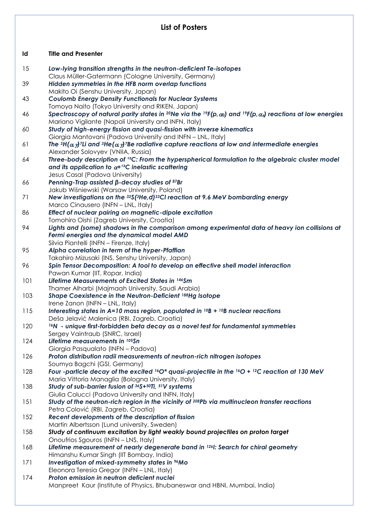#### **List of Posters**

#### **Id Title and Presenter**

| 15  | Low-lying transition strengths in the neutron-deficient Te-isotopes<br>Claus Müller-Gatermann (Cologne University, Germany)                                                                                                             |
|-----|-----------------------------------------------------------------------------------------------------------------------------------------------------------------------------------------------------------------------------------------|
| 39  | Hidden symmetries in the HFB norm overlap functions<br>Makito Oi (Senshu University, Japan)                                                                                                                                             |
| 43  | <b>Coulomb Energy Density Functionals for Nuclear Systems</b><br>Tomoya Naito (Tokyo University and RIKEN, Japan)                                                                                                                       |
| 46  | Spectroscopy of natural parity states in <sup>20</sup> Ne via the <sup>19</sup> F(p, $\alpha$ ) and <sup>19</sup> F(p, $\alpha$ <sub>n</sub> ) reactions at low energies<br>Mariano Vigilante (Napoli University and INFN, Italy)       |
| 60  | Study of high-energy fission and quasi-fission with inverse kinematics<br>Giorgia Mantovani (Padova University and INFN - LNL, Italy)                                                                                                   |
| 61  | The ${}^{3}H(\alpha, \gamma)$ <sup>7</sup> Li and ${}^{3}He(\alpha, \gamma)$ <sup>7</sup> Be radiative capture reactions at low and intermediate energies<br>Alexander Solovyev (VNIIA, Russia)                                         |
| 64  | Three-body description of <sup>12</sup> C: From the hyperspherical formulation to the algebraic cluster model<br>and its application to $\alpha$ + <sup>12</sup> C inelastic scattering<br>Jesus Casal (Padova University)              |
| 66  | Penning-Trap assisted $\beta$ -decay studies of 87Br<br>Jakub Wiśniewski (Warsaw University, Poland)                                                                                                                                    |
| 71  | New investigations on the $32\zeta(3He,d)$ <sup>33</sup> CI reaction at 9.6 MeV bombarding energy<br>Marco Cinausero (INFN - LNL, Italy)                                                                                                |
| 86  | Effect of nuclear pairing on magnetic-dipole excitation                                                                                                                                                                                 |
| 94  | Tomohiro Oishi (Zagreb University, Croatia)<br>Lights and (some) shadows in the comparison among experimental data of heavy ion collisions at<br>Fermi energies and the dynamical model AMD<br>Silvia Piantelli (INFN - Firenze, Italy) |
| 95  | Alpha correlation in term of the hyper-Pfaffian                                                                                                                                                                                         |
| 96  | Takahiro Mizusaki (INS, Senshu University, Japan)<br>Spin Tensor Decomposition: A tool to develop an effective shell model interaction                                                                                                  |
| 101 | Pawan Kumar (IIT, Ropar, India)<br>Lifetime Measurements of Excited States in 146Sm                                                                                                                                                     |
| 103 | Thamer Alharbi (Majmaah University, Saudi Arabia)<br>Shape Coexistence in the Neutron-Deficient 188Hg Isotope                                                                                                                           |
| 115 | Irene Zanon (INFN - LNL, Italy)<br>Interesting states in A=10 mass region, populated in $^{10}B + ^{10}B$ nuclear reactions                                                                                                             |
| 120 | Deša Jelavić Malenica (RBI, Zagreb, Croatia)<br><sup>16</sup> N - unique first-forbidden beta decay as a novel test for fundamental symmetries                                                                                          |
| 124 | Sergey Vaintraub (SNRC, Israel)<br>Lifetime measurements in 105Sn                                                                                                                                                                       |
| 126 | Giorgia Pasqualato (INFN - Padova)<br>Proton distribution radii measurements of neutron-rich nitrogen isotopes                                                                                                                          |
| 128 | Soumya Bagchi (GSI, Germany)<br>Four -particle decay of the excited $160*$ quasi-projectile in the $160 + 12C$ reaction at 130 MeV<br>Maria Vittoria Managlia (Bologna University, Italy)                                               |
| 138 | Study of sub-barrier fusion of 36S+50Ti, 51V systems                                                                                                                                                                                    |
| 151 | Giulia Colucci (Padova University and INFN, Italy)<br>Study of the neutron-rich region in the vicinity of 208Pb via multinucleon transfer reactions                                                                                     |
| 152 | Petra Colović (RBI, Zagreb, Croatia)<br>Recent developments of the description of fission                                                                                                                                               |
| 158 | Martin Albertsson (Lund university, Sweden)<br>Study of continuum excitation by light weakly bound projectiles on proton target                                                                                                         |
| 168 | Onoufrios Sgouros (INFN - LNS, Italy)<br>Lifetime measurement of nearly degenerate band in <sup>126</sup> I: Search for chiral geometry                                                                                                 |
| 171 | Himanshu Kumar Singh (IIT Bombay, India)<br>Investigation of mixed-symmetry states in <sup>96</sup> Mo                                                                                                                                  |
| 174 | Eleonora Teresia Gregor (INFN - LNL, Italy)<br>Proton emission in neutron deficient nuclei                                                                                                                                              |
|     | Manpreet Kaur (Institute of Physics, Bhubaneswar and HBNI, Mumbai, India)                                                                                                                                                               |